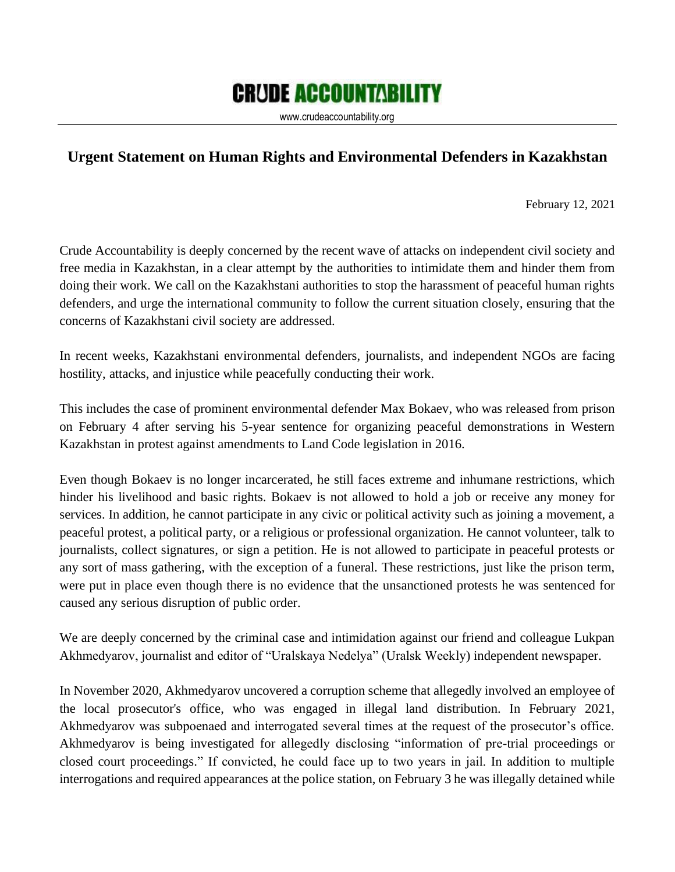## **CRUDE ACCOUNTABILITY**

www.crudeaccountability.org

## **Urgent Statement on Human Rights and Environmental Defenders in Kazakhstan**

February 12, 2021

Crude Accountability is deeply concerned by the recent wave of attacks on independent civil society and free media in Kazakhstan, in a clear attempt by the authorities to intimidate them and hinder them from doing their work. We call on the Kazakhstani authorities to stop the harassment of peaceful human rights defenders, and urge the international community to follow the current situation closely, ensuring that the concerns of Kazakhstani civil society are addressed.

In recent weeks, Kazakhstani environmental defenders, journalists, and independent NGOs are facing hostility, attacks, and injustice while peacefully conducting their work.

This includes the case of prominent environmental defender Max Bokaev, who was released from prison on February 4 after serving his 5-year sentence for organizing peaceful demonstrations in Western Kazakhstan in protest against amendments to Land Code legislation in 2016.

Even though Bokaev is no longer incarcerated, he still faces extreme and inhumane restrictions, which hinder his livelihood and basic rights. Bokaev is not allowed to hold a job or receive any money for services. In addition, he cannot participate in any civic or political activity such as joining a movement, a peaceful protest, a political party, or a religious or professional organization. He cannot volunteer, talk to journalists, collect signatures, or sign a petition. He is not allowed to participate in peaceful protests or any sort of mass gathering, with the exception of a funeral. These restrictions, just like the prison term, were put in place even though there is no evidence that the unsanctioned protests he was sentenced for caused any serious disruption of public order.

We are deeply concerned by the criminal case and intimidation against our friend and colleague Lukpan Akhmedyarov, journalist and editor of "Uralskaya Nedelya" (Uralsk Weekly) independent newspaper.

In November 2020, Akhmedyarov uncovered a corruption scheme that allegedly involved an employee of the local prosecutor's office, who was engaged in illegal land distribution. In February 2021, Akhmedyarov was subpoenaed and interrogated several times at the request of the prosecutor's office. Akhmedyarov is being investigated for allegedly disclosing "information of pre-trial proceedings or closed court proceedings." If convicted, he could face up to two years in jail. In addition to multiple interrogations and required appearances at the police station, on February 3 he was illegally detained while